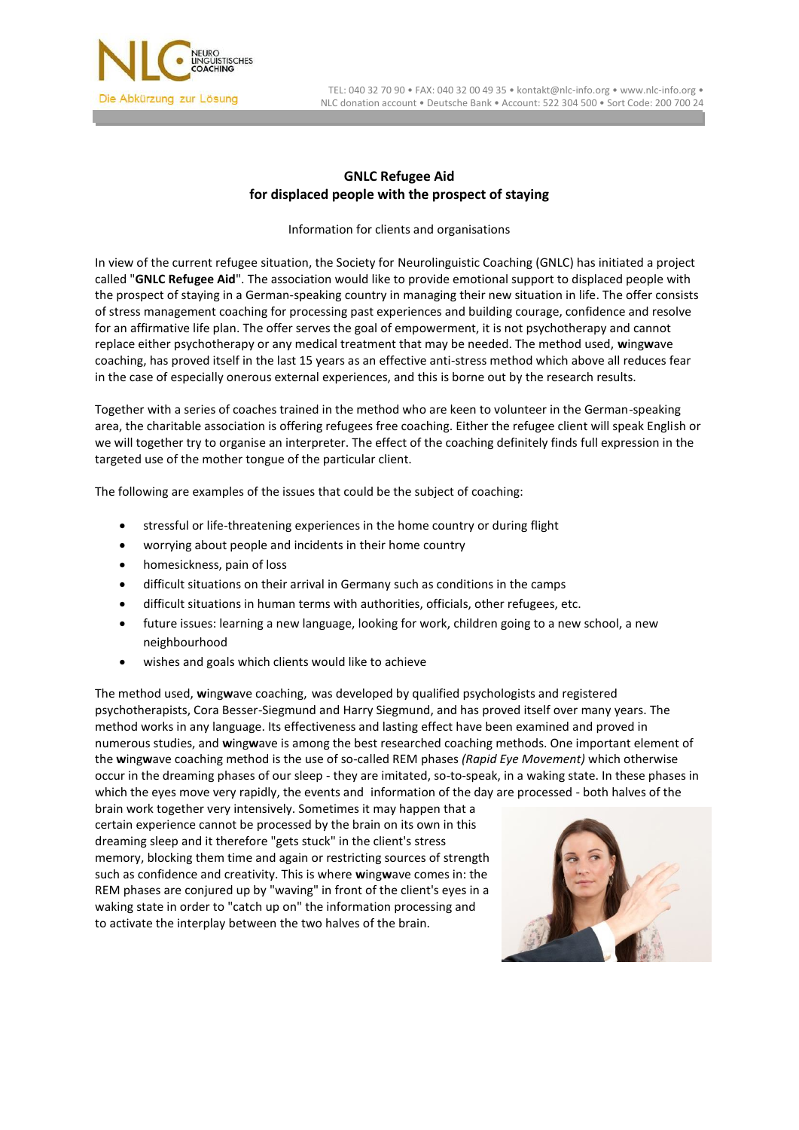

 TEL: 040 32 70 90 • FAX: 040 32 00 49 35 • kontakt@nlc-info.org • www.nlc-info.org • NLC donation account • Deutsche Bank • Account: 522 304 500 • Sort Code: 200 700 24

## **GNLC Refugee Aid for displaced people with the prospect of staying**

Information for clients and organisations

In view of the current refugee situation, the Society for Neurolinguistic Coaching (GNLC) has initiated a project called "**GNLC Refugee Aid**". The association would like to provide emotional support to displaced people with the prospect of staying in a German-speaking country in managing their new situation in life. The offer consists of stress management coaching for processing past experiences and building courage, confidence and resolve for an affirmative life plan. The offer serves the goal of empowerment, it is not psychotherapy and cannot replace either psychotherapy or any medical treatment that may be needed. The method used, **w**ing**w**ave coaching, has proved itself in the last 15 years as an effective anti-stress method which above all reduces fear in the case of especially onerous external experiences, and this is borne out by the research results.

Together with a series of coaches trained in the method who are keen to volunteer in the German-speaking area, the charitable association is offering refugees free coaching. Either the refugee client will speak English or we will together try to organise an interpreter. The effect of the coaching definitely finds full expression in the targeted use of the mother tongue of the particular client.

The following are examples of the issues that could be the subject of coaching:

- stressful or life-threatening experiences in the home country or during flight
- worrying about people and incidents in their home country
- homesickness, pain of loss
- difficult situations on their arrival in Germany such as conditions in the camps
- difficult situations in human terms with authorities, officials, other refugees, etc.
- future issues: learning a new language, looking for work, children going to a new school, a new neighbourhood
- wishes and goals which clients would like to achieve

The method used, **w**ing**w**ave coaching, was developed by qualified psychologists and registered psychotherapists, Cora Besser-Siegmund and Harry Siegmund, and has proved itself over many years. The method works in any language. Its effectiveness and lasting effect have been examined and proved in numerous studies, and **w**ing**w**ave is among the best researched coaching methods. One important element of the **w**ing**w**ave coaching method is the use of so-called REM phases *(Rapid Eye Movement)* which otherwise occur in the dreaming phases of our sleep - they are imitated, so-to-speak, in a waking state. In these phases in which the eyes move very rapidly, the events and information of the day are processed - both halves of the

brain work together very intensively. Sometimes it may happen that a certain experience cannot be processed by the brain on its own in this dreaming sleep and it therefore "gets stuck" in the client's stress memory, blocking them time and again or restricting sources of strength such as confidence and creativity. This is where **w**ing**w**ave comes in: the REM phases are conjured up by "waving" in front of the client's eyes in a waking state in order to "catch up on" the information processing and to activate the interplay between the two halves of the brain.